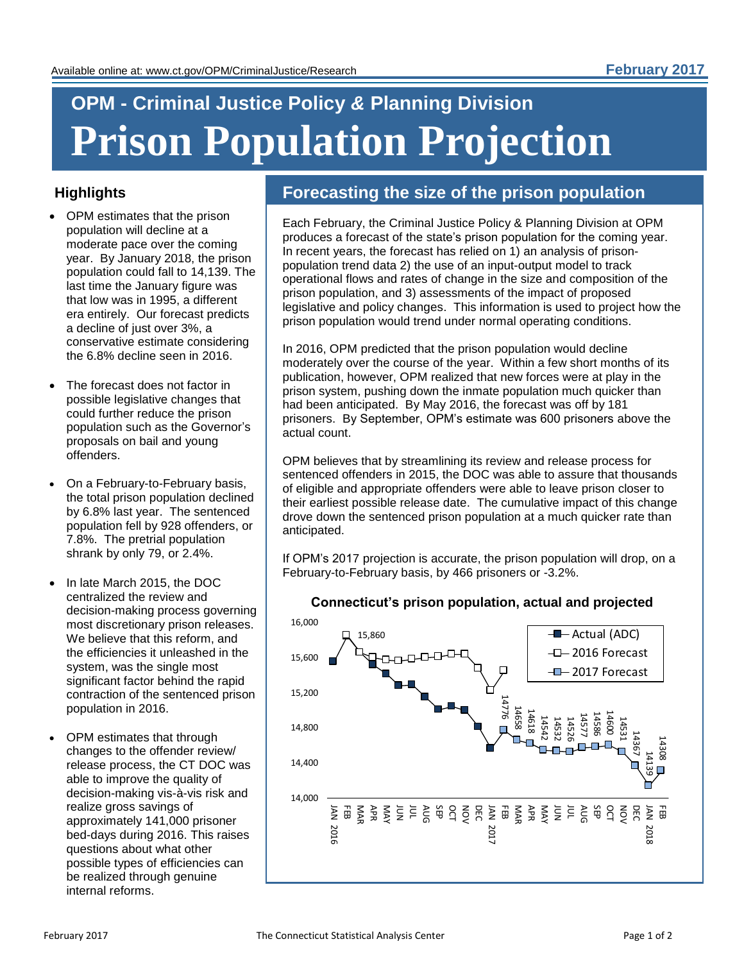# **OPM - Criminal Justice Policy** *&* **Planning Division Prison Population Projection**

## **Highlights**

- OPM estimates that the prison population will decline at a moderate pace over the coming year. By January 2018, the prison population could fall to 14,139. The last time the January figure was that low was in 1995, a different era entirely. Our forecast predicts a decline of just over 3%, a conservative estimate considering the 6.8% decline seen in 2016.
- The forecast does not factor in possible legislative changes that could further reduce the prison population such as the Governor's proposals on bail and young offenders.
- On a February-to-February basis, the total prison population declined by 6.8% last year. The sentenced population fell by 928 offenders, or 7.8%. The pretrial population shrank by only 79, or 2.4%.
- In late March 2015, the DOC centralized the review and decision-making process governing most discretionary prison releases. We believe that this reform, and the efficiencies it unleashed in the system, was the single most significant factor behind the rapid contraction of the sentenced prison population in 2016.
- OPM estimates that through changes to the offender review/ release process, the CT DOC was able to improve the quality of decision-making vis-à-vis risk and realize gross savings of approximately 141,000 prisoner bed-days during 2016. This raises questions about what other possible types of efficiencies can be realized through genuine internal reforms.

# **Forecasting the size of the prison population**

Each February, the Criminal Justice Policy & Planning Division at OPM produces a forecast of the state's prison population for the coming year. In recent years, the forecast has relied on 1) an analysis of prisonpopulation trend data 2) the use of an input-output model to track operational flows and rates of change in the size and composition of the prison population, and 3) assessments of the impact of proposed legislative and policy changes. This information is used to project how the prison population would trend under normal operating conditions.

In 2016, OPM predicted that the prison population would decline moderately over the course of the year. Within a few short months of its publication, however, OPM realized that new forces were at play in the prison system, pushing down the inmate population much quicker than had been anticipated. By May 2016, the forecast was off by 181 prisoners. By September, OPM's estimate was 600 prisoners above the actual count.

OPM believes that by streamlining its review and release process for sentenced offenders in 2015, the DOC was able to assure that thousands of eligible and appropriate offenders were able to leave prison closer to their earliest possible release date. The cumulative impact of this change drove down the sentenced prison population at a much quicker rate than anticipated.

If OPM's 2017 projection is accurate, the prison population will drop, on a February-to-February basis, by 466 prisoners or -3.2%.



#### **Connecticut's prison population, actual and projected**